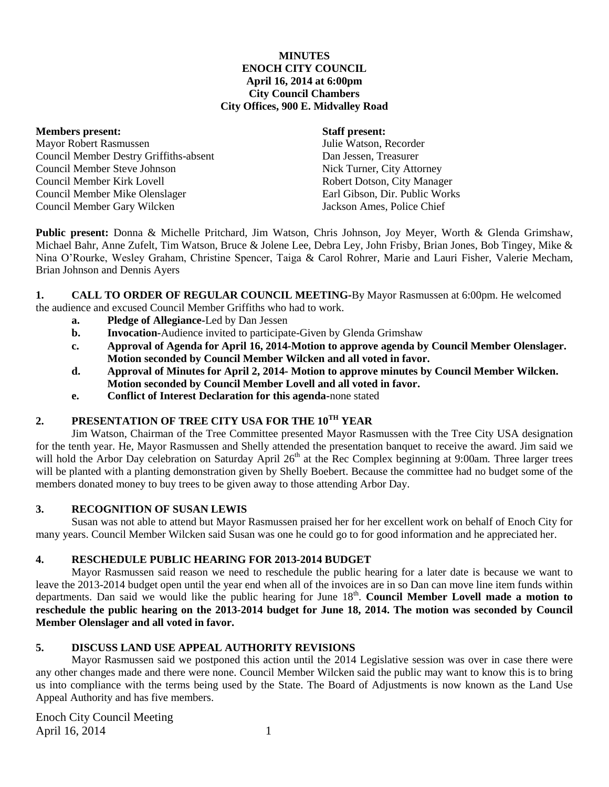### **MINUTES ENOCH CITY COUNCIL April 16, 2014 at 6:00pm City Council Chambers City Offices, 900 E. Midvalley Road**

**Members present: Staff present:** Mayor Robert Rasmussen Julie Watson, Recorder Council Member Destry Griffiths-absent Dan Jessen, Treasurer Council Member Steve Johnson Nick Turner, City Attorney Council Member Kirk Lovell **Robert Dotson, City Manager** Robert Dotson, City Manager Council Member Mike Olenslager Earl Gibson, Dir. Public Works Council Member Gary Wilcken Jackson Ames, Police Chief

**Public present:** Donna & Michelle Pritchard, Jim Watson, Chris Johnson, Joy Meyer, Worth & Glenda Grimshaw, Michael Bahr, Anne Zufelt, Tim Watson, Bruce & Jolene Lee, Debra Ley, John Frisby, Brian Jones, Bob Tingey, Mike & Nina O'Rourke, Wesley Graham, Christine Spencer, Taiga & Carol Rohrer, Marie and Lauri Fisher, Valerie Mecham, Brian Johnson and Dennis Ayers

**1. CALL TO ORDER OF REGULAR COUNCIL MEETING-**By Mayor Rasmussen at 6:00pm. He welcomed the audience and excused Council Member Griffiths who had to work.

- **a. Pledge of Allegiance-**Led by Dan Jessen
- **b. Invocation-**Audience invited to participate-Given by Glenda Grimshaw
- **c. Approval of Agenda for April 16, 2014-Motion to approve agenda by Council Member Olenslager. Motion seconded by Council Member Wilcken and all voted in favor.**
- **d. Approval of Minutes for April 2, 2014- Motion to approve minutes by Council Member Wilcken. Motion seconded by Council Member Lovell and all voted in favor.**
- **e. Conflict of Interest Declaration for this agenda-**none stated

# **2. PRESENTATION OF TREE CITY USA FOR THE 10TH YEAR**

Jim Watson, Chairman of the Tree Committee presented Mayor Rasmussen with the Tree City USA designation for the tenth year. He, Mayor Rasmussen and Shelly attended the presentation banquet to receive the award. Jim said we will hold the Arbor Day celebration on Saturday April 26<sup>th</sup> at the Rec Complex beginning at 9:00am. Three larger trees will be planted with a planting demonstration given by Shelly Boebert. Because the committee had no budget some of the members donated money to buy trees to be given away to those attending Arbor Day.

### **3. RECOGNITION OF SUSAN LEWIS**

Susan was not able to attend but Mayor Rasmussen praised her for her excellent work on behalf of Enoch City for many years. Council Member Wilcken said Susan was one he could go to for good information and he appreciated her.

# **4. RESCHEDULE PUBLIC HEARING FOR 2013-2014 BUDGET**

Mayor Rasmussen said reason we need to reschedule the public hearing for a later date is because we want to leave the 2013-2014 budget open until the year end when all of the invoices are in so Dan can move line item funds within departments. Dan said we would like the public hearing for June 18<sup>th</sup>. Council Member Lovell made a motion to **reschedule the public hearing on the 2013-2014 budget for June 18, 2014. The motion was seconded by Council Member Olenslager and all voted in favor.**

# **5. DISCUSS LAND USE APPEAL AUTHORITY REVISIONS**

Mayor Rasmussen said we postponed this action until the 2014 Legislative session was over in case there were any other changes made and there were none. Council Member Wilcken said the public may want to know this is to bring us into compliance with the terms being used by the State. The Board of Adjustments is now known as the Land Use Appeal Authority and has five members.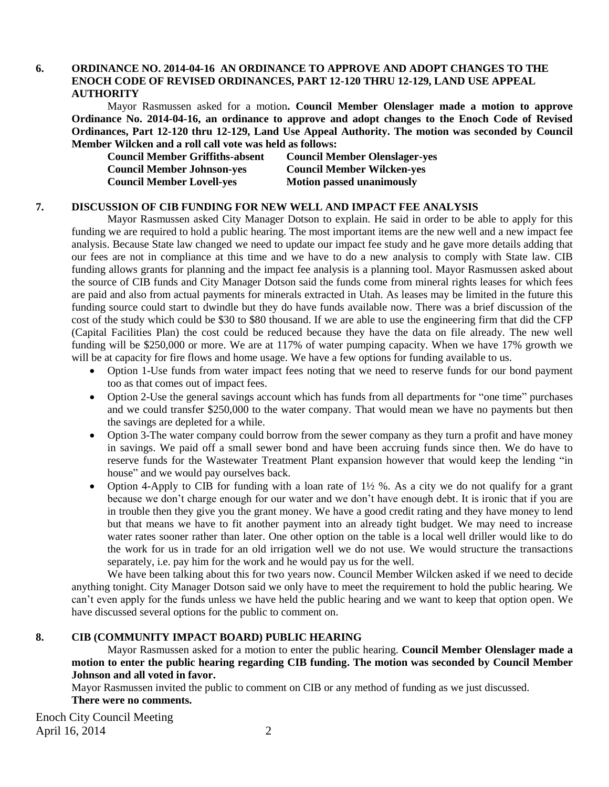## **6. ORDINANCE NO. 2014-04-16 AN ORDINANCE TO APPROVE AND ADOPT CHANGES TO THE ENOCH CODE OF REVISED ORDINANCES, PART 12-120 THRU 12-129, LAND USE APPEAL AUTHORITY**

Mayor Rasmussen asked for a motion**. Council Member Olenslager made a motion to approve Ordinance No. 2014-04-16, an ordinance to approve and adopt changes to the Enoch Code of Revised Ordinances, Part 12-120 thru 12-129, Land Use Appeal Authority. The motion was seconded by Council Member Wilcken and a roll call vote was held as follows:**

| <b>Council Member Griffiths-absent</b> | <b>Council Member Olenslager-yes</b> |
|----------------------------------------|--------------------------------------|
| <b>Council Member Johnson-yes</b>      | <b>Council Member Wilcken-yes</b>    |
| <b>Council Member Lovell-yes</b>       | <b>Motion passed unanimously</b>     |

#### **7. DISCUSSION OF CIB FUNDING FOR NEW WELL AND IMPACT FEE ANALYSIS**

Mayor Rasmussen asked City Manager Dotson to explain. He said in order to be able to apply for this funding we are required to hold a public hearing. The most important items are the new well and a new impact fee analysis. Because State law changed we need to update our impact fee study and he gave more details adding that our fees are not in compliance at this time and we have to do a new analysis to comply with State law. CIB funding allows grants for planning and the impact fee analysis is a planning tool. Mayor Rasmussen asked about the source of CIB funds and City Manager Dotson said the funds come from mineral rights leases for which fees are paid and also from actual payments for minerals extracted in Utah. As leases may be limited in the future this funding source could start to dwindle but they do have funds available now. There was a brief discussion of the cost of the study which could be \$30 to \$80 thousand. If we are able to use the engineering firm that did the CFP (Capital Facilities Plan) the cost could be reduced because they have the data on file already. The new well funding will be \$250,000 or more. We are at 117% of water pumping capacity. When we have 17% growth we will be at capacity for fire flows and home usage. We have a few options for funding available to us.

- Option 1-Use funds from water impact fees noting that we need to reserve funds for our bond payment too as that comes out of impact fees.
- Option 2-Use the general savings account which has funds from all departments for "one time" purchases and we could transfer \$250,000 to the water company. That would mean we have no payments but then the savings are depleted for a while.
- Option 3-The water company could borrow from the sewer company as they turn a profit and have money in savings. We paid off a small sewer bond and have been accruing funds since then. We do have to reserve funds for the Wastewater Treatment Plant expansion however that would keep the lending "in house" and we would pay ourselves back.
- Option 4-Apply to CIB for funding with a loan rate of 1½ %. As a city we do not qualify for a grant because we don't charge enough for our water and we don't have enough debt. It is ironic that if you are in trouble then they give you the grant money. We have a good credit rating and they have money to lend but that means we have to fit another payment into an already tight budget. We may need to increase water rates sooner rather than later. One other option on the table is a local well driller would like to do the work for us in trade for an old irrigation well we do not use. We would structure the transactions separately, i.e. pay him for the work and he would pay us for the well.

We have been talking about this for two years now. Council Member Wilcken asked if we need to decide anything tonight. City Manager Dotson said we only have to meet the requirement to hold the public hearing. We can't even apply for the funds unless we have held the public hearing and we want to keep that option open. We have discussed several options for the public to comment on.

### **8. CIB (COMMUNITY IMPACT BOARD) PUBLIC HEARING**

Mayor Rasmussen asked for a motion to enter the public hearing. **Council Member Olenslager made a motion to enter the public hearing regarding CIB funding. The motion was seconded by Council Member Johnson and all voted in favor.**

Mayor Rasmussen invited the public to comment on CIB or any method of funding as we just discussed.

## **There were no comments.**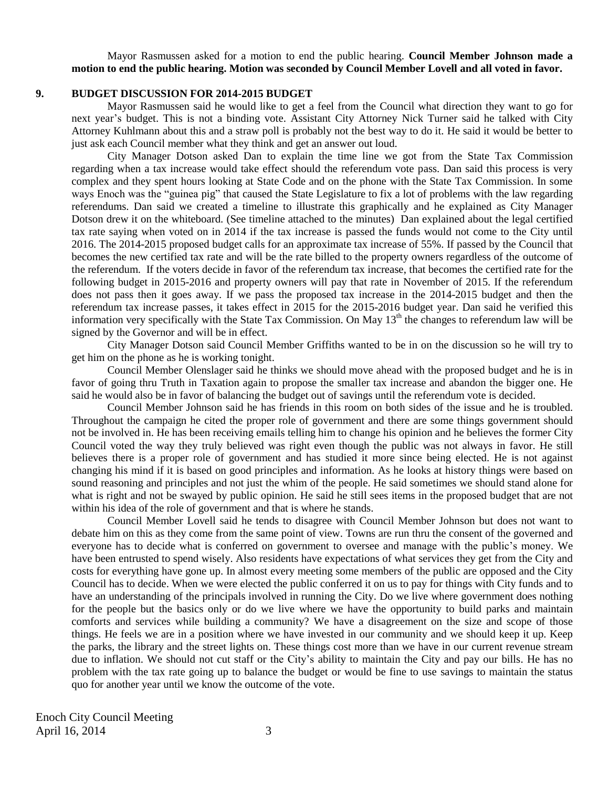Mayor Rasmussen asked for a motion to end the public hearing. **Council Member Johnson made a motion to end the public hearing. Motion was seconded by Council Member Lovell and all voted in favor.**

#### **9. BUDGET DISCUSSION FOR 2014-2015 BUDGET**

Mayor Rasmussen said he would like to get a feel from the Council what direction they want to go for next year's budget. This is not a binding vote. Assistant City Attorney Nick Turner said he talked with City Attorney Kuhlmann about this and a straw poll is probably not the best way to do it. He said it would be better to just ask each Council member what they think and get an answer out loud.

City Manager Dotson asked Dan to explain the time line we got from the State Tax Commission regarding when a tax increase would take effect should the referendum vote pass. Dan said this process is very complex and they spent hours looking at State Code and on the phone with the State Tax Commission. In some ways Enoch was the "guinea pig" that caused the State Legislature to fix a lot of problems with the law regarding referendums. Dan said we created a timeline to illustrate this graphically and he explained as City Manager Dotson drew it on the whiteboard. (See timeline attached to the minutes) Dan explained about the legal certified tax rate saying when voted on in 2014 if the tax increase is passed the funds would not come to the City until 2016. The 2014-2015 proposed budget calls for an approximate tax increase of 55%. If passed by the Council that becomes the new certified tax rate and will be the rate billed to the property owners regardless of the outcome of the referendum. If the voters decide in favor of the referendum tax increase, that becomes the certified rate for the following budget in 2015-2016 and property owners will pay that rate in November of 2015. If the referendum does not pass then it goes away. If we pass the proposed tax increase in the 2014-2015 budget and then the referendum tax increase passes, it takes effect in 2015 for the 2015-2016 budget year. Dan said he verified this information very specifically with the State Tax Commission. On May 13<sup>th</sup> the changes to referendum law will be signed by the Governor and will be in effect.

City Manager Dotson said Council Member Griffiths wanted to be in on the discussion so he will try to get him on the phone as he is working tonight.

Council Member Olenslager said he thinks we should move ahead with the proposed budget and he is in favor of going thru Truth in Taxation again to propose the smaller tax increase and abandon the bigger one. He said he would also be in favor of balancing the budget out of savings until the referendum vote is decided.

Council Member Johnson said he has friends in this room on both sides of the issue and he is troubled. Throughout the campaign he cited the proper role of government and there are some things government should not be involved in. He has been receiving emails telling him to change his opinion and he believes the former City Council voted the way they truly believed was right even though the public was not always in favor. He still believes there is a proper role of government and has studied it more since being elected. He is not against changing his mind if it is based on good principles and information. As he looks at history things were based on sound reasoning and principles and not just the whim of the people. He said sometimes we should stand alone for what is right and not be swayed by public opinion. He said he still sees items in the proposed budget that are not within his idea of the role of government and that is where he stands.

Council Member Lovell said he tends to disagree with Council Member Johnson but does not want to debate him on this as they come from the same point of view. Towns are run thru the consent of the governed and everyone has to decide what is conferred on government to oversee and manage with the public's money. We have been entrusted to spend wisely. Also residents have expectations of what services they get from the City and costs for everything have gone up. In almost every meeting some members of the public are opposed and the City Council has to decide. When we were elected the public conferred it on us to pay for things with City funds and to have an understanding of the principals involved in running the City. Do we live where government does nothing for the people but the basics only or do we live where we have the opportunity to build parks and maintain comforts and services while building a community? We have a disagreement on the size and scope of those things. He feels we are in a position where we have invested in our community and we should keep it up. Keep the parks, the library and the street lights on. These things cost more than we have in our current revenue stream due to inflation. We should not cut staff or the City's ability to maintain the City and pay our bills. He has no problem with the tax rate going up to balance the budget or would be fine to use savings to maintain the status quo for another year until we know the outcome of the vote.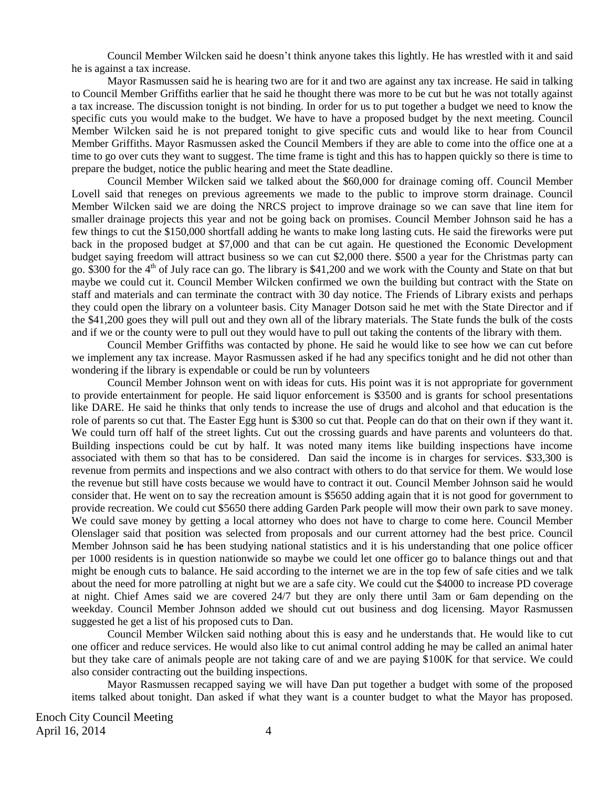Council Member Wilcken said he doesn't think anyone takes this lightly. He has wrestled with it and said he is against a tax increase.

Mayor Rasmussen said he is hearing two are for it and two are against any tax increase. He said in talking to Council Member Griffiths earlier that he said he thought there was more to be cut but he was not totally against a tax increase. The discussion tonight is not binding. In order for us to put together a budget we need to know the specific cuts you would make to the budget. We have to have a proposed budget by the next meeting. Council Member Wilcken said he is not prepared tonight to give specific cuts and would like to hear from Council Member Griffiths. Mayor Rasmussen asked the Council Members if they are able to come into the office one at a time to go over cuts they want to suggest. The time frame is tight and this has to happen quickly so there is time to prepare the budget, notice the public hearing and meet the State deadline.

Council Member Wilcken said we talked about the \$60,000 for drainage coming off. Council Member Lovell said that reneges on previous agreements we made to the public to improve storm drainage. Council Member Wilcken said we are doing the NRCS project to improve drainage so we can save that line item for smaller drainage projects this year and not be going back on promises. Council Member Johnson said he has a few things to cut the \$150,000 shortfall adding he wants to make long lasting cuts. He said the fireworks were put back in the proposed budget at \$7,000 and that can be cut again. He questioned the Economic Development budget saying freedom will attract business so we can cut \$2,000 there. \$500 a year for the Christmas party can go. \$300 for the 4<sup>th</sup> of July race can go. The library is \$41,200 and we work with the County and State on that but maybe we could cut it. Council Member Wilcken confirmed we own the building but contract with the State on staff and materials and can terminate the contract with 30 day notice. The Friends of Library exists and perhaps they could open the library on a volunteer basis. City Manager Dotson said he met with the State Director and if the \$41,200 goes they will pull out and they own all of the library materials. The State funds the bulk of the costs and if we or the county were to pull out they would have to pull out taking the contents of the library with them.

Council Member Griffiths was contacted by phone. He said he would like to see how we can cut before we implement any tax increase. Mayor Rasmussen asked if he had any specifics tonight and he did not other than wondering if the library is expendable or could be run by volunteers

Council Member Johnson went on with ideas for cuts. His point was it is not appropriate for government to provide entertainment for people. He said liquor enforcement is \$3500 and is grants for school presentations like DARE. He said he thinks that only tends to increase the use of drugs and alcohol and that education is the role of parents so cut that. The Easter Egg hunt is \$300 so cut that. People can do that on their own if they want it. We could turn off half of the street lights. Cut out the crossing guards and have parents and volunteers do that. Building inspections could be cut by half. It was noted many items like building inspections have income associated with them so that has to be considered. Dan said the income is in charges for services. \$33,300 is revenue from permits and inspections and we also contract with others to do that service for them. We would lose the revenue but still have costs because we would have to contract it out. Council Member Johnson said he would consider that. He went on to say the recreation amount is \$5650 adding again that it is not good for government to provide recreation. We could cut \$5650 there adding Garden Park people will mow their own park to save money. We could save money by getting a local attorney who does not have to charge to come here. Council Member Olenslager said that position was selected from proposals and our current attorney had the best price. Council Member Johnson said h**e** has been studying national statistics and it is his understanding that one police officer per 1000 residents is in question nationwide so maybe we could let one officer go to balance things out and that might be enough cuts to balance. He said according to the internet we are in the top few of safe cities and we talk about the need for more patrolling at night but we are a safe city. We could cut the \$4000 to increase PD coverage at night. Chief Ames said we are covered 24/7 but they are only there until 3am or 6am depending on the weekday. Council Member Johnson added we should cut out business and dog licensing. Mayor Rasmussen suggested he get a list of his proposed cuts to Dan.

Council Member Wilcken said nothing about this is easy and he understands that. He would like to cut one officer and reduce services. He would also like to cut animal control adding he may be called an animal hater but they take care of animals people are not taking care of and we are paying \$100K for that service. We could also consider contracting out the building inspections.

Mayor Rasmussen recapped saying we will have Dan put together a budget with some of the proposed items talked about tonight. Dan asked if what they want is a counter budget to what the Mayor has proposed.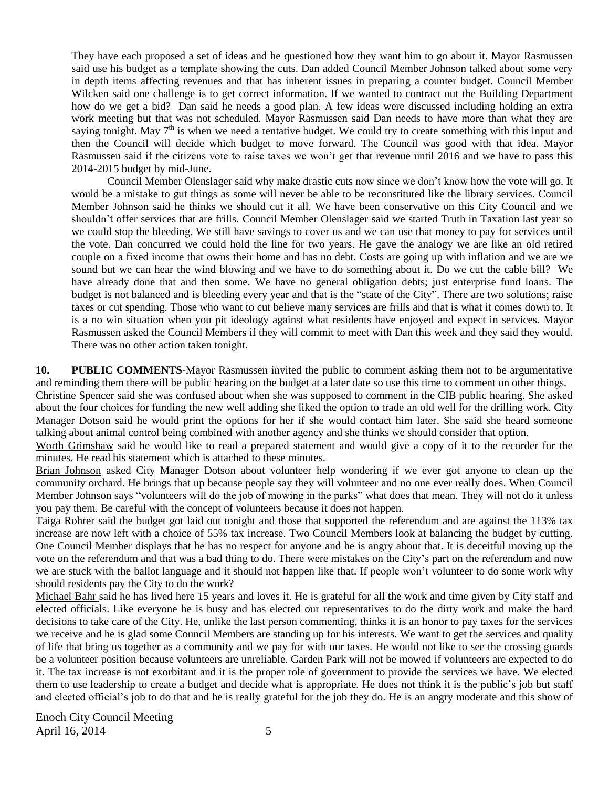They have each proposed a set of ideas and he questioned how they want him to go about it. Mayor Rasmussen said use his budget as a template showing the cuts. Dan added Council Member Johnson talked about some very in depth items affecting revenues and that has inherent issues in preparing a counter budget. Council Member Wilcken said one challenge is to get correct information. If we wanted to contract out the Building Department how do we get a bid? Dan said he needs a good plan. A few ideas were discussed including holding an extra work meeting but that was not scheduled. Mayor Rasmussen said Dan needs to have more than what they are saying tonight. May  $7<sup>th</sup>$  is when we need a tentative budget. We could try to create something with this input and then the Council will decide which budget to move forward. The Council was good with that idea. Mayor Rasmussen said if the citizens vote to raise taxes we won't get that revenue until 2016 and we have to pass this 2014-2015 budget by mid-June.

Council Member Olenslager said why make drastic cuts now since we don't know how the vote will go. It would be a mistake to gut things as some will never be able to be reconstituted like the library services. Council Member Johnson said he thinks we should cut it all. We have been conservative on this City Council and we shouldn't offer services that are frills. Council Member Olenslager said we started Truth in Taxation last year so we could stop the bleeding. We still have savings to cover us and we can use that money to pay for services until the vote. Dan concurred we could hold the line for two years. He gave the analogy we are like an old retired couple on a fixed income that owns their home and has no debt. Costs are going up with inflation and we are we sound but we can hear the wind blowing and we have to do something about it. Do we cut the cable bill? We have already done that and then some. We have no general obligation debts; just enterprise fund loans. The budget is not balanced and is bleeding every year and that is the "state of the City". There are two solutions; raise taxes or cut spending. Those who want to cut believe many services are frills and that is what it comes down to. It is a no win situation when you pit ideology against what residents have enjoyed and expect in services. Mayor Rasmussen asked the Council Members if they will commit to meet with Dan this week and they said they would. There was no other action taken tonight.

**10. PUBLIC COMMENTS-**Mayor Rasmussen invited the public to comment asking them not to be argumentative and reminding them there will be public hearing on the budget at a later date so use this time to comment on other things.

Christine Spencer said she was confused about when she was supposed to comment in the CIB public hearing. She asked about the four choices for funding the new well adding she liked the option to trade an old well for the drilling work. City Manager Dotson said he would print the options for her if she would contact him later. She said she heard someone talking about animal control being combined with another agency and she thinks we should consider that option.

Worth Grimshaw said he would like to read a prepared statement and would give a copy of it to the recorder for the minutes. He read his statement which is attached to these minutes.

Brian Johnson asked City Manager Dotson about volunteer help wondering if we ever got anyone to clean up the community orchard. He brings that up because people say they will volunteer and no one ever really does. When Council Member Johnson says "volunteers will do the job of mowing in the parks" what does that mean. They will not do it unless you pay them. Be careful with the concept of volunteers because it does not happen.

Taiga Rohrer said the budget got laid out tonight and those that supported the referendum and are against the 113% tax increase are now left with a choice of 55% tax increase. Two Council Members look at balancing the budget by cutting. One Council Member displays that he has no respect for anyone and he is angry about that. It is deceitful moving up the vote on the referendum and that was a bad thing to do. There were mistakes on the City's part on the referendum and now we are stuck with the ballot language and it should not happen like that. If people won't volunteer to do some work why should residents pay the City to do the work?

Michael Bahr said he has lived here 15 years and loves it. He is grateful for all the work and time given by City staff and elected officials. Like everyone he is busy and has elected our representatives to do the dirty work and make the hard decisions to take care of the City. He, unlike the last person commenting, thinks it is an honor to pay taxes for the services we receive and he is glad some Council Members are standing up for his interests. We want to get the services and quality of life that bring us together as a community and we pay for with our taxes. He would not like to see the crossing guards be a volunteer position because volunteers are unreliable. Garden Park will not be mowed if volunteers are expected to do it. The tax increase is not exorbitant and it is the proper role of government to provide the services we have. We elected them to use leadership to create a budget and decide what is appropriate. He does not think it is the public's job but staff and elected official's job to do that and he is really grateful for the job they do. He is an angry moderate and this show of